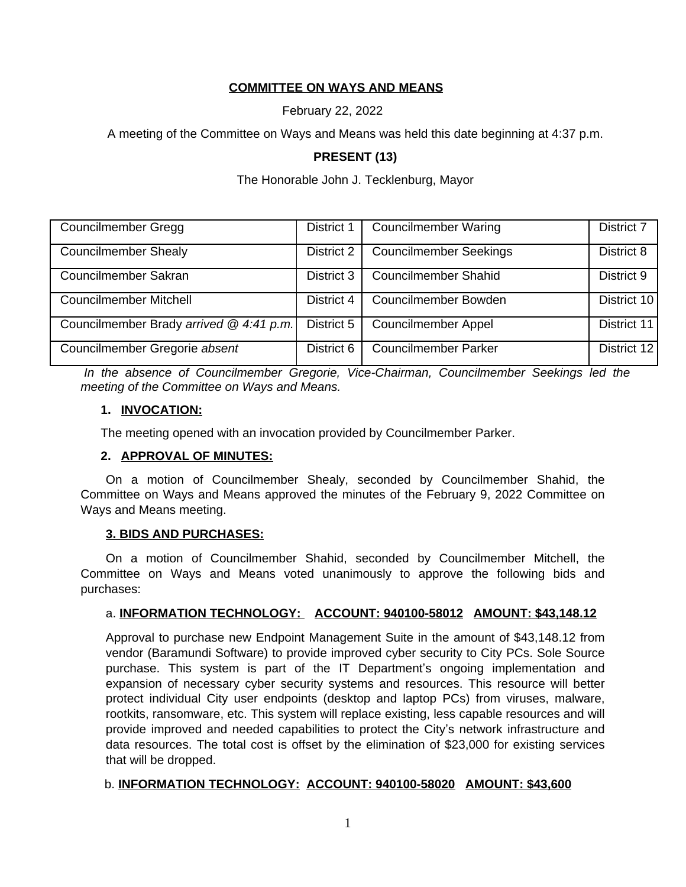### **COMMITTEE ON WAYS AND MEANS**

February 22, 2022

A meeting of the Committee on Ways and Means was held this date beginning at 4:37 p.m.

### **PRESENT (13)**

#### The Honorable John J. Tecklenburg, Mayor

| <b>Councilmember Gregg</b>              | District 1 | <b>Councilmember Waring</b>   | District 7  |
|-----------------------------------------|------------|-------------------------------|-------------|
| <b>Councilmember Shealy</b>             | District 2 | <b>Councilmember Seekings</b> | District 8  |
| Councilmember Sakran                    | District 3 | <b>Councilmember Shahid</b>   | District 9  |
| <b>Councilmember Mitchell</b>           | District 4 | Councilmember Bowden          | District 10 |
| Councilmember Brady arrived @ 4:41 p.m. | District 5 | <b>Councilmember Appel</b>    | District 11 |
| Councilmember Gregorie absent           | District 6 | <b>Councilmember Parker</b>   | District 12 |

*In the absence of Councilmember Gregorie, Vice-Chairman, Councilmember Seekings led the meeting of the Committee on Ways and Means.* 

#### **1. INVOCATION:**

The meeting opened with an invocation provided by Councilmember Parker.

#### **2. APPROVAL OF MINUTES:**

On a motion of Councilmember Shealy, seconded by Councilmember Shahid, the Committee on Ways and Means approved the minutes of the February 9, 2022 Committee on Ways and Means meeting.

### **3. BIDS AND PURCHASES:**

On a motion of Councilmember Shahid, seconded by Councilmember Mitchell, the Committee on Ways and Means voted unanimously to approve the following bids and purchases:

### a. **INFORMATION TECHNOLOGY: ACCOUNT: 940100-58012 AMOUNT: \$43,148.12**

Approval to purchase new Endpoint Management Suite in the amount of \$43,148.12 from vendor (Baramundi Software) to provide improved cyber security to City PCs. Sole Source purchase. This system is part of the IT Department's ongoing implementation and expansion of necessary cyber security systems and resources. This resource will better protect individual City user endpoints (desktop and laptop PCs) from viruses, malware, rootkits, ransomware, etc. This system will replace existing, less capable resources and will provide improved and needed capabilities to protect the City's network infrastructure and data resources. The total cost is offset by the elimination of \$23,000 for existing services that will be dropped.

#### b. **INFORMATION TECHNOLOGY: ACCOUNT: 940100-58020 AMOUNT: \$43,600**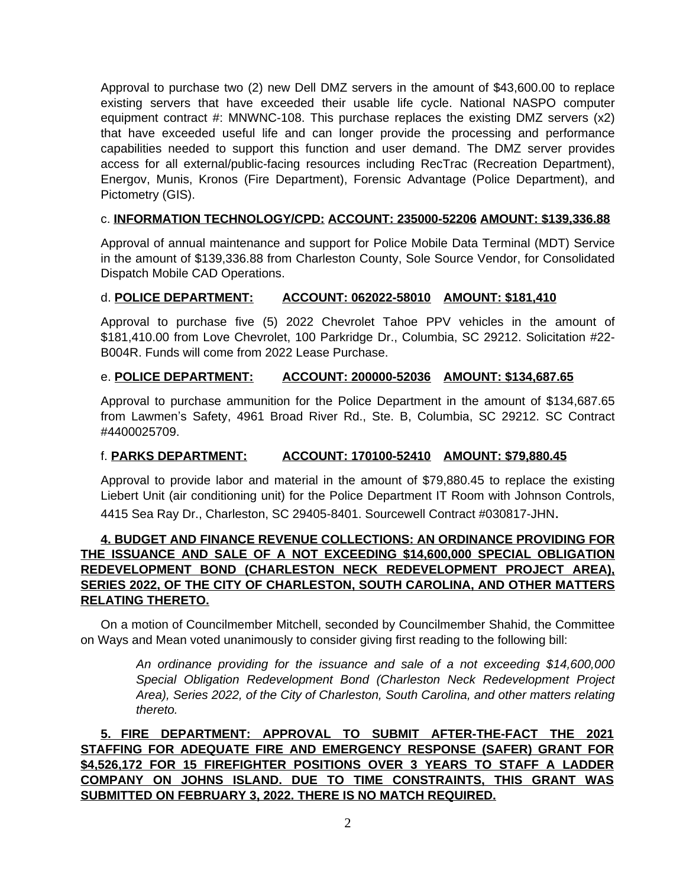Approval to purchase two (2) new Dell DMZ servers in the amount of \$43,600.00 to replace existing servers that have exceeded their usable life cycle. National NASPO computer equipment contract  $#$ : MNWNC-108. This purchase replaces the existing DMZ servers  $(x2)$ that have exceeded useful life and can longer provide the processing and performance capabilities needed to support this function and user demand. The DMZ server provides access for all external/public-facing resources including RecTrac (Recreation Department), Energov, Munis, Kronos (Fire Department), Forensic Advantage (Police Department), and Pictometry (GIS).

#### c. **INFORMATION TECHNOLOGY/CPD: ACCOUNT: 235000-52206 AMOUNT: \$139,336.88**

Approval of annual maintenance and support for Police Mobile Data Terminal (MDT) Service in the amount of \$139,336.88 from Charleston County, Sole Source Vendor, for Consolidated Dispatch Mobile CAD Operations.

#### d. **POLICE DEPARTMENT: ACCOUNT: 062022-58010 AMOUNT: \$181,410**

Approval to purchase five (5) 2022 Chevrolet Tahoe PPV vehicles in the amount of \$181,410.00 from Love Chevrolet, 100 Parkridge Dr., Columbia, SC 29212. Solicitation #22- B004R. Funds will come from 2022 Lease Purchase.

#### e. **POLICE DEPARTMENT: ACCOUNT: 200000-52036 AMOUNT: \$134,687.65**

Approval to purchase ammunition for the Police Department in the amount of \$134,687.65 from Lawmen's Safety, 4961 Broad River Rd., Ste. B, Columbia, SC 29212. SC Contract #4400025709.

### f. **PARKS DEPARTMENT: ACCOUNT: 170100-52410 AMOUNT: \$79,880.45**

Approval to provide labor and material in the amount of \$79,880.45 to replace the existing Liebert Unit (air conditioning unit) for the Police Department IT Room with Johnson Controls, 4415 Sea Ray Dr., Charleston, SC 29405-8401. Sourcewell Contract #030817-JHN.

# **4. BUDGET AND FINANCE REVENUE COLLECTIONS: AN ORDINANCE PROVIDING FOR THE ISSUANCE AND SALE OF A NOT EXCEEDING \$14,600,000 SPECIAL OBLIGATION REDEVELOPMENT BOND (CHARLESTON NECK REDEVELOPMENT PROJECT AREA), SERIES 2022, OF THE CITY OF CHARLESTON, SOUTH CAROLINA, AND OTHER MATTERS RELATING THERETO.**

On a motion of Councilmember Mitchell, seconded by Councilmember Shahid, the Committee on Ways and Mean voted unanimously to consider giving first reading to the following bill:

> *An ordinance providing for the issuance and sale of a not exceeding \$14,600,000 Special Obligation Redevelopment Bond (Charleston Neck Redevelopment Project Area), Series 2022, of the City of Charleston, South Carolina, and other matters relating thereto.*

**5. FIRE DEPARTMENT: APPROVAL TO SUBMIT AFTER-THE-FACT THE 2021 STAFFING FOR ADEQUATE FIRE AND EMERGENCY RESPONSE (SAFER) GRANT FOR \$4,526,172 FOR 15 FIREFIGHTER POSITIONS OVER 3 YEARS TO STAFF A LADDER COMPANY ON JOHNS ISLAND. DUE TO TIME CONSTRAINTS, THIS GRANT WAS SUBMITTED ON FEBRUARY 3, 2022. THERE IS NO MATCH REQUIRED.**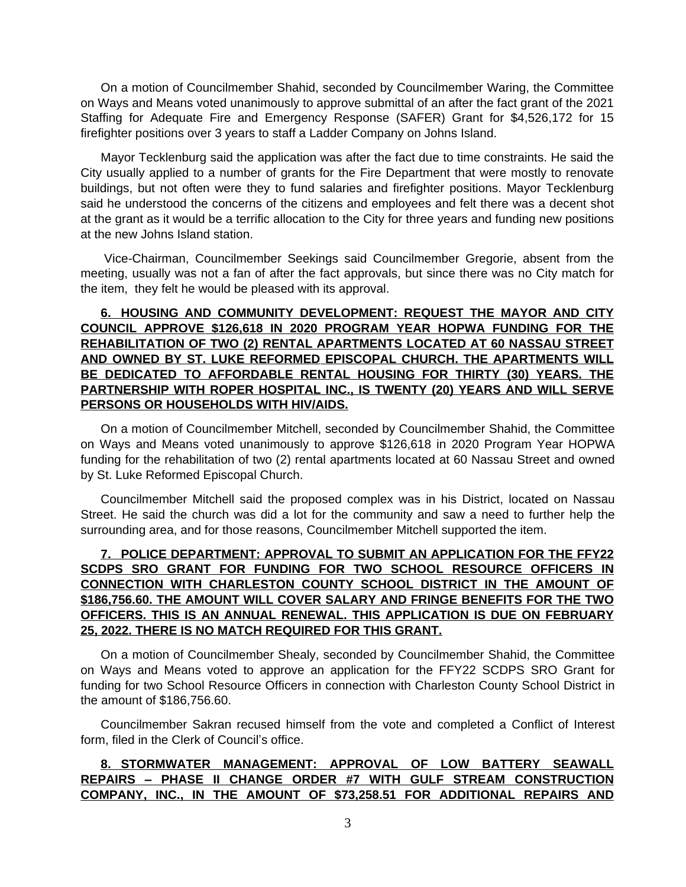On a motion of Councilmember Shahid, seconded by Councilmember Waring, the Committee on Ways and Means voted unanimously to approve submittal of an after the fact grant of the 2021 Staffing for Adequate Fire and Emergency Response (SAFER) Grant for \$4,526,172 for 15 firefighter positions over 3 years to staff a Ladder Company on Johns Island.

Mayor Tecklenburg said the application was after the fact due to time constraints. He said the City usually applied to a number of grants for the Fire Department that were mostly to renovate buildings, but not often were they to fund salaries and firefighter positions. Mayor Tecklenburg said he understood the concerns of the citizens and employees and felt there was a decent shot at the grant as it would be a terrific allocation to the City for three years and funding new positions at the new Johns Island station.

Vice-Chairman, Councilmember Seekings said Councilmember Gregorie, absent from the meeting, usually was not a fan of after the fact approvals, but since there was no City match for the item, they felt he would be pleased with its approval.

# **6. HOUSING AND COMMUNITY DEVELOPMENT: REQUEST THE MAYOR AND CITY COUNCIL APPROVE \$126,618 IN 2020 PROGRAM YEAR HOPWA FUNDING FOR THE REHABILITATION OF TWO (2) RENTAL APARTMENTS LOCATED AT 60 NASSAU STREET AND OWNED BY ST. LUKE REFORMED EPISCOPAL CHURCH. THE APARTMENTS WILL BE DEDICATED TO AFFORDABLE RENTAL HOUSING FOR THIRTY (30) YEARS. THE PARTNERSHIP WITH ROPER HOSPITAL INC., IS TWENTY (20) YEARS AND WILL SERVE PERSONS OR HOUSEHOLDS WITH HIV/AIDS.**

On a motion of Councilmember Mitchell, seconded by Councilmember Shahid, the Committee on Ways and Means voted unanimously to approve \$126,618 in 2020 Program Year HOPWA funding for the rehabilitation of two (2) rental apartments located at 60 Nassau Street and owned by St. Luke Reformed Episcopal Church.

Councilmember Mitchell said the proposed complex was in his District, located on Nassau Street. He said the church was did a lot for the community and saw a need to further help the surrounding area, and for those reasons, Councilmember Mitchell supported the item.

# **7. POLICE DEPARTMENT: APPROVAL TO SUBMIT AN APPLICATION FOR THE FFY22 SCDPS SRO GRANT FOR FUNDING FOR TWO SCHOOL RESOURCE OFFICERS IN CONNECTION WITH CHARLESTON COUNTY SCHOOL DISTRICT IN THE AMOUNT OF \$186,756.60. THE AMOUNT WILL COVER SALARY AND FRINGE BENEFITS FOR THE TWO OFFICERS. THIS IS AN ANNUAL RENEWAL. THIS APPLICATION IS DUE ON FEBRUARY 25, 2022. THERE IS NO MATCH REQUIRED FOR THIS GRANT.**

On a motion of Councilmember Shealy, seconded by Councilmember Shahid, the Committee on Ways and Means voted to approve an application for the FFY22 SCDPS SRO Grant for funding for two School Resource Officers in connection with Charleston County School District in the amount of \$186,756.60.

Councilmember Sakran recused himself from the vote and completed a Conflict of Interest form, filed in the Clerk of Council's office.

# **8. STORMWATER MANAGEMENT: APPROVAL OF LOW BATTERY SEAWALL REPAIRS – PHASE II CHANGE ORDER #7 WITH GULF STREAM CONSTRUCTION COMPANY, INC., IN THE AMOUNT OF \$73,258.51 FOR ADDITIONAL REPAIRS AND**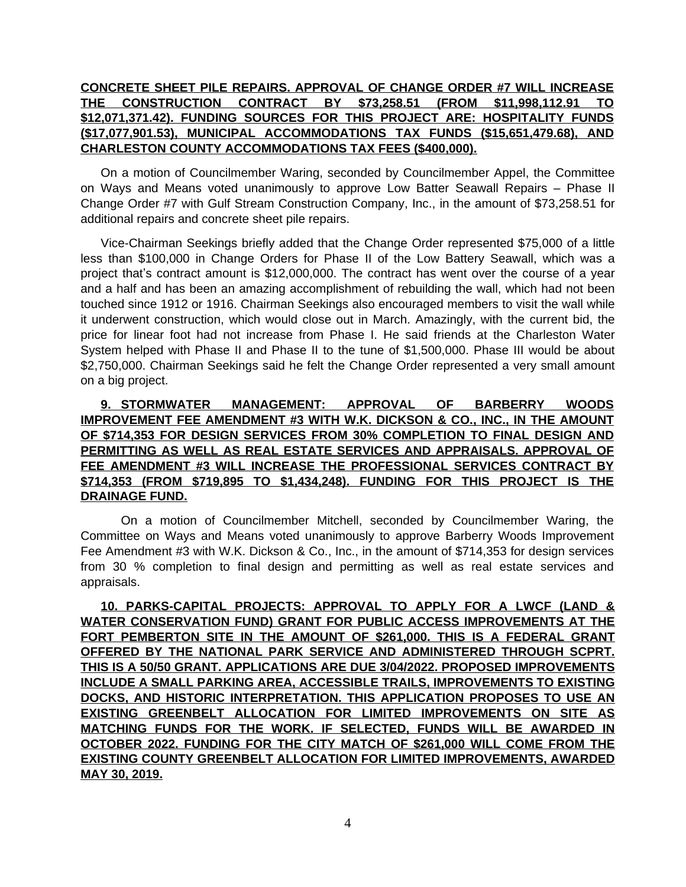# **CONCRETE SHEET PILE REPAIRS. APPROVAL OF CHANGE ORDER #7 WILL INCREASE THE CONSTRUCTION CONTRACT BY \$73,258.51 (FROM \$11,998,112.91 TO \$12,071,371.42). FUNDING SOURCES FOR THIS PROJECT ARE: HOSPITALITY FUNDS (\$17,077,901.53), MUNICIPAL ACCOMMODATIONS TAX FUNDS (\$15,651,479.68), AND CHARLESTON COUNTY ACCOMMODATIONS TAX FEES (\$400,000).**

On a motion of Councilmember Waring, seconded by Councilmember Appel, the Committee on Ways and Means voted unanimously to approve Low Batter Seawall Repairs – Phase II Change Order #7 with Gulf Stream Construction Company, Inc., in the amount of \$73,258.51 for additional repairs and concrete sheet pile repairs.

Vice-Chairman Seekings briefly added that the Change Order represented \$75,000 of a little less than \$100,000 in Change Orders for Phase II of the Low Battery Seawall, which was a project that's contract amount is \$12,000,000. The contract has went over the course of a year and a half and has been an amazing accomplishment of rebuilding the wall, which had not been touched since 1912 or 1916. Chairman Seekings also encouraged members to visit the wall while it underwent construction, which would close out in March. Amazingly, with the current bid, the price for linear foot had not increase from Phase I. He said friends at the Charleston Water System helped with Phase II and Phase II to the tune of \$1,500,000. Phase III would be about \$2,750,000. Chairman Seekings said he felt the Change Order represented a very small amount on a big project.

# **9. STORMWATER MANAGEMENT: APPROVAL OF BARBERRY WOODS IMPROVEMENT FEE AMENDMENT #3 WITH W.K. DICKSON & CO., INC., IN THE AMOUNT OF \$714,353 FOR DESIGN SERVICES FROM 30% COMPLETION TO FINAL DESIGN AND PERMITTING AS WELL AS REAL ESTATE SERVICES AND APPRAISALS. APPROVAL OF FEE AMENDMENT #3 WILL INCREASE THE PROFESSIONAL SERVICES CONTRACT BY \$714,353 (FROM \$719,895 TO \$1,434,248). FUNDING FOR THIS PROJECT IS THE DRAINAGE FUND.**

On a motion of Councilmember Mitchell, seconded by Councilmember Waring, the Committee on Ways and Means voted unanimously to approve Barberry Woods Improvement Fee Amendment #3 with W.K. Dickson & Co., Inc., in the amount of \$714,353 for design services from 30 % completion to final design and permitting as well as real estate services and appraisals.

**10. PARKS-CAPITAL PROJECTS: APPROVAL TO APPLY FOR A LWCF (LAND & WATER CONSERVATION FUND) GRANT FOR PUBLIC ACCESS IMPROVEMENTS AT THE FORT PEMBERTON SITE IN THE AMOUNT OF \$261,000. THIS IS A FEDERAL GRANT OFFERED BY THE NATIONAL PARK SERVICE AND ADMINISTERED THROUGH SCPRT. THIS IS A 50/50 GRANT. APPLICATIONS ARE DUE 3/04/2022. PROPOSED IMPROVEMENTS INCLUDE A SMALL PARKING AREA, ACCESSIBLE TRAILS, IMPROVEMENTS TO EXISTING DOCKS, AND HISTORIC INTERPRETATION. THIS APPLICATION PROPOSES TO USE AN EXISTING GREENBELT ALLOCATION FOR LIMITED IMPROVEMENTS ON SITE AS MATCHING FUNDS FOR THE WORK. IF SELECTED, FUNDS WILL BE AWARDED IN OCTOBER 2022. FUNDING FOR THE CITY MATCH OF \$261,000 WILL COME FROM THE EXISTING COUNTY GREENBELT ALLOCATION FOR LIMITED IMPROVEMENTS, AWARDED MAY 30, 2019.**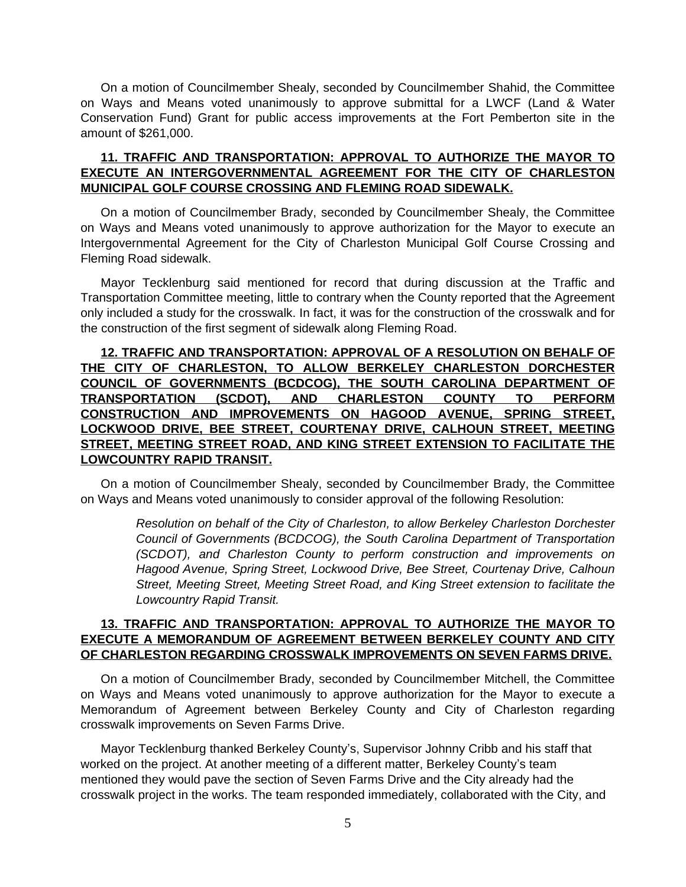On a motion of Councilmember Shealy, seconded by Councilmember Shahid, the Committee on Ways and Means voted unanimously to approve submittal for a LWCF (Land & Water Conservation Fund) Grant for public access improvements at the Fort Pemberton site in the amount of \$261,000.

#### **11. TRAFFIC AND TRANSPORTATION: APPROVAL TO AUTHORIZE THE MAYOR TO EXECUTE AN INTERGOVERNMENTAL AGREEMENT FOR THE CITY OF CHARLESTON MUNICIPAL GOLF COURSE CROSSING AND FLEMING ROAD SIDEWALK.**

On a motion of Councilmember Brady, seconded by Councilmember Shealy, the Committee on Ways and Means voted unanimously to approve authorization for the Mayor to execute an Intergovernmental Agreement for the City of Charleston Municipal Golf Course Crossing and Fleming Road sidewalk.

Mayor Tecklenburg said mentioned for record that during discussion at the Traffic and Transportation Committee meeting, little to contrary when the County reported that the Agreement only included a study for the crosswalk. In fact, it was for the construction of the crosswalk and for the construction of the first segment of sidewalk along Fleming Road.

## **12. TRAFFIC AND TRANSPORTATION: APPROVAL OF A RESOLUTION ON BEHALF OF THE CITY OF CHARLESTON, TO ALLOW BERKELEY CHARLESTON DORCHESTER COUNCIL OF GOVERNMENTS (BCDCOG), THE SOUTH CAROLINA DEPARTMENT OF TRANSPORTATION (SCDOT), AND CHARLESTON COUNTY TO PERFORM CONSTRUCTION AND IMPROVEMENTS ON HAGOOD AVENUE, SPRING STREET, LOCKWOOD DRIVE, BEE STREET, COURTENAY DRIVE, CALHOUN STREET, MEETING STREET, MEETING STREET ROAD, AND KING STREET EXTENSION TO FACILITATE THE LOWCOUNTRY RAPID TRANSIT.**

On a motion of Councilmember Shealy, seconded by Councilmember Brady, the Committee on Ways and Means voted unanimously to consider approval of the following Resolution:

> *Resolution on behalf of the City of Charleston, to allow Berkeley Charleston Dorchester Council of Governments (BCDCOG), the South Carolina Department of Transportation (SCDOT), and Charleston County to perform construction and improvements on Hagood Avenue, Spring Street, Lockwood Drive, Bee Street, Courtenay Drive, Calhoun Street, Meeting Street, Meeting Street Road, and King Street extension to facilitate the Lowcountry Rapid Transit.*

# **13. TRAFFIC AND TRANSPORTATION: APPROVAL TO AUTHORIZE THE MAYOR TO EXECUTE A MEMORANDUM OF AGREEMENT BETWEEN BERKELEY COUNTY AND CITY OF CHARLESTON REGARDING CROSSWALK IMPROVEMENTS ON SEVEN FARMS DRIVE.**

On a motion of Councilmember Brady, seconded by Councilmember Mitchell, the Committee on Ways and Means voted unanimously to approve authorization for the Mayor to execute a Memorandum of Agreement between Berkeley County and City of Charleston regarding crosswalk improvements on Seven Farms Drive.

Mayor Tecklenburg thanked Berkeley County's, Supervisor Johnny Cribb and his staff that worked on the project. At another meeting of a different matter, Berkeley County's team mentioned they would pave the section of Seven Farms Drive and the City already had the crosswalk project in the works. The team responded immediately, collaborated with the City, and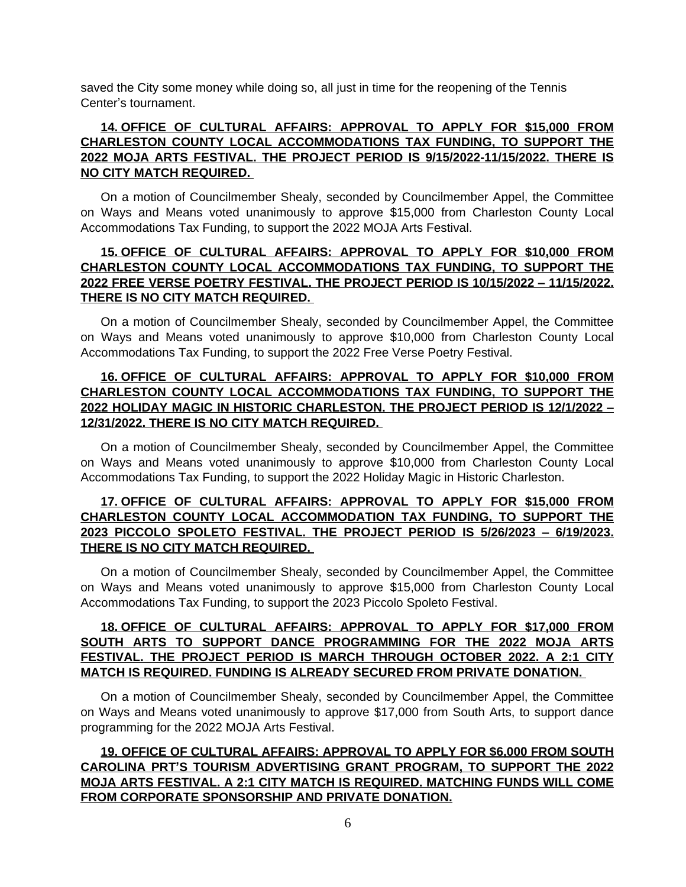saved the City some money while doing so, all just in time for the reopening of the Tennis Center's tournament.

# **14. OFFICE OF CULTURAL AFFAIRS: APPROVAL TO APPLY FOR \$15,000 FROM CHARLESTON COUNTY LOCAL ACCOMMODATIONS TAX FUNDING, TO SUPPORT THE 2022 MOJA ARTS FESTIVAL. THE PROJECT PERIOD IS 9/15/2022-11/15/2022. THERE IS NO CITY MATCH REQUIRED.**

On a motion of Councilmember Shealy, seconded by Councilmember Appel, the Committee on Ways and Means voted unanimously to approve \$15,000 from Charleston County Local Accommodations Tax Funding, to support the 2022 MOJA Arts Festival.

# **15. OFFICE OF CULTURAL AFFAIRS: APPROVAL TO APPLY FOR \$10,000 FROM CHARLESTON COUNTY LOCAL ACCOMMODATIONS TAX FUNDING, TO SUPPORT THE 2022 FREE VERSE POETRY FESTIVAL. THE PROJECT PERIOD IS 10/15/2022 – 11/15/2022. THERE IS NO CITY MATCH REQUIRED.**

On a motion of Councilmember Shealy, seconded by Councilmember Appel, the Committee on Ways and Means voted unanimously to approve \$10,000 from Charleston County Local Accommodations Tax Funding, to support the 2022 Free Verse Poetry Festival.

### **16. OFFICE OF CULTURAL AFFAIRS: APPROVAL TO APPLY FOR \$10,000 FROM CHARLESTON COUNTY LOCAL ACCOMMODATIONS TAX FUNDING, TO SUPPORT THE 2022 HOLIDAY MAGIC IN HISTORIC CHARLESTON. THE PROJECT PERIOD IS 12/1/2022 – 12/31/2022. THERE IS NO CITY MATCH REQUIRED.**

On a motion of Councilmember Shealy, seconded by Councilmember Appel, the Committee on Ways and Means voted unanimously to approve \$10,000 from Charleston County Local Accommodations Tax Funding, to support the 2022 Holiday Magic in Historic Charleston.

#### **17. OFFICE OF CULTURAL AFFAIRS: APPROVAL TO APPLY FOR \$15,000 FROM CHARLESTON COUNTY LOCAL ACCOMMODATION TAX FUNDING, TO SUPPORT THE 2023 PICCOLO SPOLETO FESTIVAL. THE PROJECT PERIOD IS 5/26/2023 – 6/19/2023. THERE IS NO CITY MATCH REQUIRED.**

On a motion of Councilmember Shealy, seconded by Councilmember Appel, the Committee on Ways and Means voted unanimously to approve \$15,000 from Charleston County Local Accommodations Tax Funding, to support the 2023 Piccolo Spoleto Festival.

# **18. OFFICE OF CULTURAL AFFAIRS: APPROVAL TO APPLY FOR \$17,000 FROM SOUTH ARTS TO SUPPORT DANCE PROGRAMMING FOR THE 2022 MOJA ARTS FESTIVAL. THE PROJECT PERIOD IS MARCH THROUGH OCTOBER 2022. A 2:1 CITY MATCH IS REQUIRED. FUNDING IS ALREADY SECURED FROM PRIVATE DONATION.**

On a motion of Councilmember Shealy, seconded by Councilmember Appel, the Committee on Ways and Means voted unanimously to approve \$17,000 from South Arts, to support dance programming for the 2022 MOJA Arts Festival.

# **19. OFFICE OF CULTURAL AFFAIRS: APPROVAL TO APPLY FOR \$6,000 FROM SOUTH CAROLINA PRT'S TOURISM ADVERTISING GRANT PROGRAM, TO SUPPORT THE 2022 MOJA ARTS FESTIVAL. A 2:1 CITY MATCH IS REQUIRED. MATCHING FUNDS WILL COME FROM CORPORATE SPONSORSHIP AND PRIVATE DONATION.**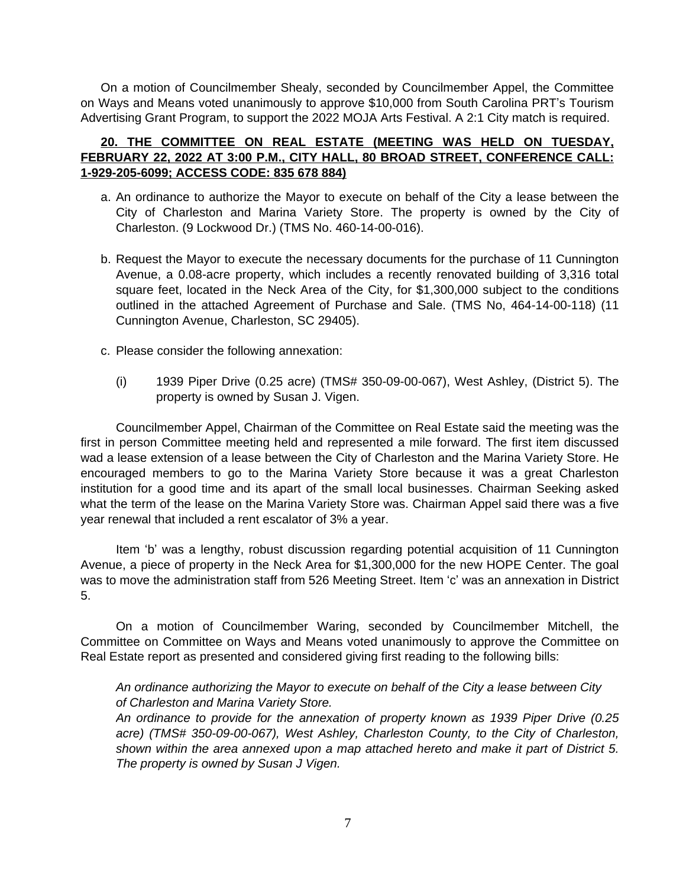On a motion of Councilmember Shealy, seconded by Councilmember Appel, the Committee on Ways and Means voted unanimously to approve \$10,000 from South Carolina PRT's Tourism Advertising Grant Program, to support the 2022 MOJA Arts Festival. A 2:1 City match is required.

# **20. THE COMMITTEE ON REAL ESTATE (MEETING WAS HELD ON TUESDAY, FEBRUARY 22, 2022 AT 3:00 P.M., CITY HALL, 80 BROAD STREET, CONFERENCE CALL: 1-929-205-6099; ACCESS CODE: 835 678 884)**

- a. An ordinance to authorize the Mayor to execute on behalf of the City a lease between the City of Charleston and Marina Variety Store. The property is owned by the City of Charleston. (9 Lockwood Dr.) (TMS No. 460-14-00-016).
- b. Request the Mayor to execute the necessary documents for the purchase of 11 Cunnington Avenue, a 0.08-acre property, which includes a recently renovated building of 3,316 total square feet, located in the Neck Area of the City, for \$1,300,000 subject to the conditions outlined in the attached Agreement of Purchase and Sale. (TMS No, 464-14-00-118) (11 Cunnington Avenue, Charleston, SC 29405).
- c. Please consider the following annexation:
	- (i) 1939 Piper Drive (0.25 acre) (TMS# 350-09-00-067), West Ashley, (District 5). The property is owned by Susan J. Vigen.

Councilmember Appel, Chairman of the Committee on Real Estate said the meeting was the first in person Committee meeting held and represented a mile forward. The first item discussed wad a lease extension of a lease between the City of Charleston and the Marina Variety Store. He encouraged members to go to the Marina Variety Store because it was a great Charleston institution for a good time and its apart of the small local businesses. Chairman Seeking asked what the term of the lease on the Marina Variety Store was. Chairman Appel said there was a five year renewal that included a rent escalator of 3% a year.

Item 'b' was a lengthy, robust discussion regarding potential acquisition of 11 Cunnington Avenue, a piece of property in the Neck Area for \$1,300,000 for the new HOPE Center. The goal was to move the administration staff from 526 Meeting Street. Item 'c' was an annexation in District 5.

On a motion of Councilmember Waring, seconded by Councilmember Mitchell, the Committee on Committee on Ways and Means voted unanimously to approve the Committee on Real Estate report as presented and considered giving first reading to the following bills:

*An ordinance authorizing the Mayor to execute on behalf of the City a lease between City of Charleston and Marina Variety Store.*

*An ordinance to provide for the annexation of property known as 1939 Piper Drive (0.25 acre) (TMS# 350-09-00-067), West Ashley, Charleston County, to the City of Charleston, shown within the area annexed upon a map attached hereto and make it part of District 5. The property is owned by Susan J Vigen.*